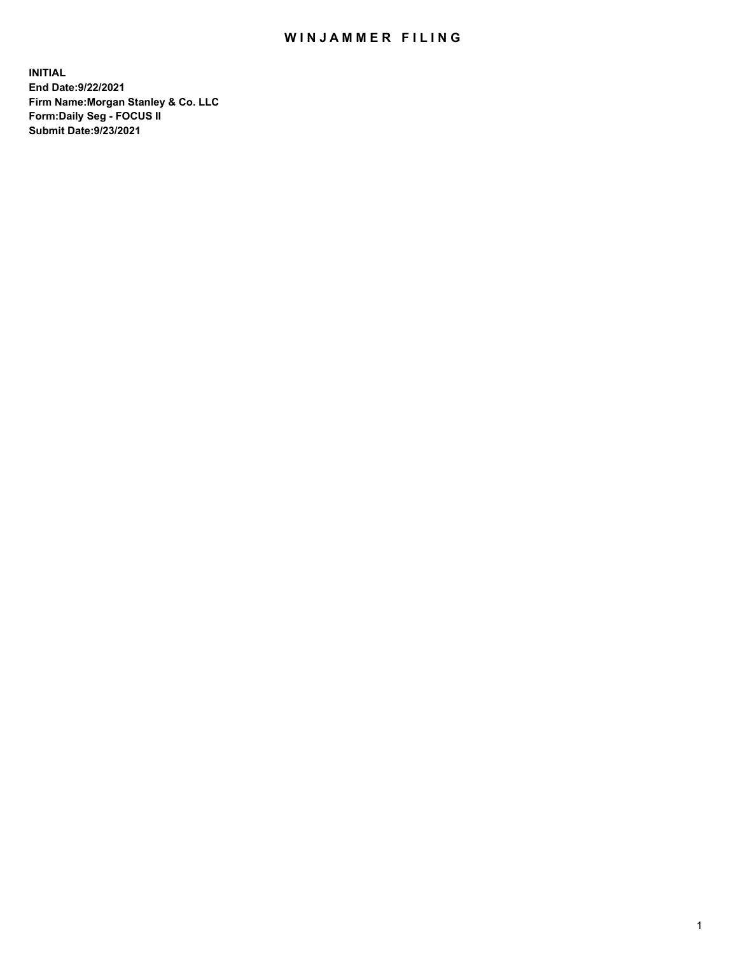## WIN JAMMER FILING

**INITIAL End Date:9/22/2021 Firm Name:Morgan Stanley & Co. LLC Form:Daily Seg - FOCUS II Submit Date:9/23/2021**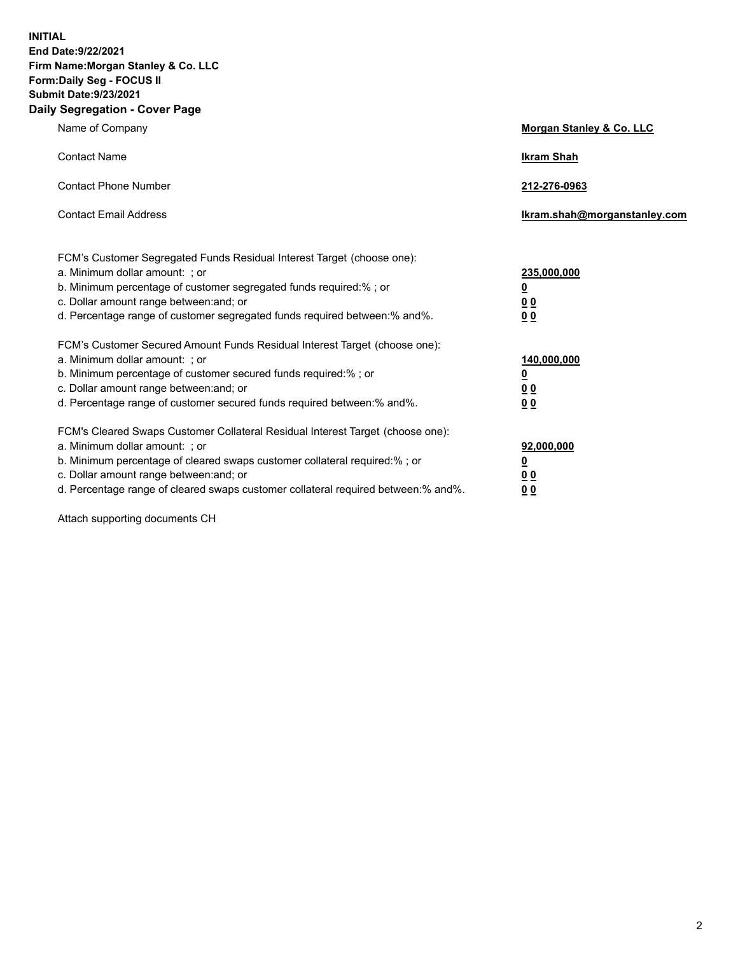**INITIAL End Date:9/22/2021 Firm Name:Morgan Stanley & Co. LLC Form:Daily Seg - FOCUS II Submit Date:9/23/2021 Daily Segregation - Cover Page**

| Name of Company                                                                                                                                                                                                                                                                                                                | Morgan Stanley & Co. LLC                                    |
|--------------------------------------------------------------------------------------------------------------------------------------------------------------------------------------------------------------------------------------------------------------------------------------------------------------------------------|-------------------------------------------------------------|
| <b>Contact Name</b>                                                                                                                                                                                                                                                                                                            | <b>Ikram Shah</b>                                           |
| <b>Contact Phone Number</b>                                                                                                                                                                                                                                                                                                    | 212-276-0963                                                |
| <b>Contact Email Address</b>                                                                                                                                                                                                                                                                                                   | lkram.shah@morganstanley.com                                |
| FCM's Customer Segregated Funds Residual Interest Target (choose one):<br>a. Minimum dollar amount: ; or<br>b. Minimum percentage of customer segregated funds required:% ; or<br>c. Dollar amount range between: and; or<br>d. Percentage range of customer segregated funds required between:% and%.                         | 235,000,000<br><u>0</u><br><u>00</u><br>0 <sub>0</sub>      |
| FCM's Customer Secured Amount Funds Residual Interest Target (choose one):<br>a. Minimum dollar amount: ; or<br>b. Minimum percentage of customer secured funds required:% ; or<br>c. Dollar amount range between: and; or<br>d. Percentage range of customer secured funds required between:% and%.                           | 140,000,000<br><u>0</u><br>0 <sub>0</sub><br>0 <sub>0</sub> |
| FCM's Cleared Swaps Customer Collateral Residual Interest Target (choose one):<br>a. Minimum dollar amount: ; or<br>b. Minimum percentage of cleared swaps customer collateral required:% ; or<br>c. Dollar amount range between: and; or<br>d. Percentage range of cleared swaps customer collateral required between:% and%. | 92,000,000<br><u>0</u><br><u>00</u><br>00                   |

Attach supporting documents CH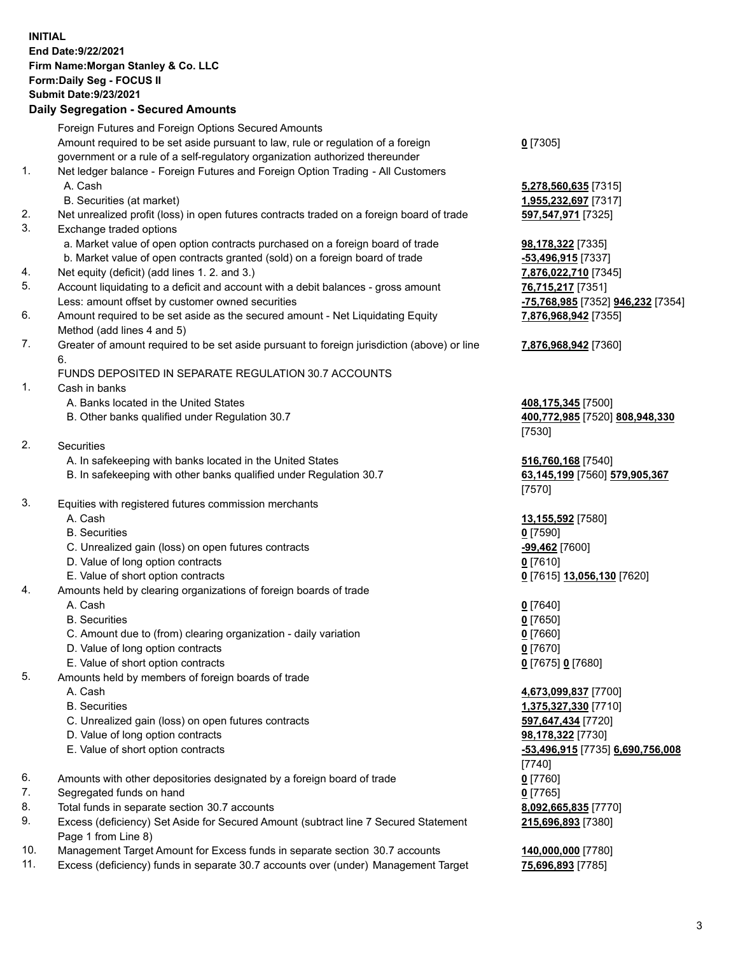## **INITIAL End Date:9/22/2021 Firm Name:Morgan Stanley & Co. LLC Form:Daily Seg - FOCUS II Submit Date:9/23/2021**

## **Daily Segregation - Secured Amounts**

Foreign Futures and Foreign Options Secured Amounts Amount required to be set aside pursuant to law, rule or regulation of a foreign government or a rule of a self-regulatory organization authorized thereunder 1. Net ledger balance - Foreign Futures and Foreign Option Trading - All Customers A. Cash **5,278,560,635** [7315] B. Securities (at market) **1,955,232,697** [7317] 2. Net unrealized profit (loss) in open futures contracts traded on a foreign board of trade **597,547,971** [7325] 3. Exchange traded options a. Market value of open option contracts purchased on a foreign board of trade **98,178,322** [7335] b. Market value of open contracts granted (sold) on a foreign board of trade **-53,496,915** [7337] 4. Net equity (deficit) (add lines 1. 2. and 3.) **7,876,022,710** [7345] 5. Account liquidating to a deficit and account with a debit balances - gross amount **76,715,217** [7351] Less: amount offset by customer owned securities **-75,768,985** [7352] **946,232** [7354] 6. Amount required to be set aside as the secured amount - Net Liquidating Equity Method (add lines 4 and 5) 7. Greater of amount required to be set aside pursuant to foreign jurisdiction (above) or line 6. FUNDS DEPOSITED IN SEPARATE REGULATION 30.7 ACCOUNTS 1. Cash in banks A. Banks located in the United States **408,175,345** [7500] B. Other banks qualified under Regulation 30.7 **400,772,985** [7520] **808,948,330** 2. Securities A. In safekeeping with banks located in the United States **516,760,168** [7540] B. In safekeeping with other banks qualified under Regulation 30.7 **63,145,199** [7560] **579,905,367** 3. Equities with registered futures commission merchants A. Cash **13,155,592** [7580] B. Securities **0** [7590] C. Unrealized gain (loss) on open futures contracts **-99,462** [7600] D. Value of long option contracts **0** [7610] E. Value of short option contracts **0** [7615] **13,056,130** [7620] 4. Amounts held by clearing organizations of foreign boards of trade A. Cash **0** [7640] B. Securities **0** [7650] C. Amount due to (from) clearing organization - daily variation **0** [7660] D. Value of long option contracts **0** [7670] E. Value of short option contracts **0** [7675] **0** [7680] 5. Amounts held by members of foreign boards of trade A. Cash **4,673,099,837** [7700] B. Securities **1,375,327,330** [7710] C. Unrealized gain (loss) on open futures contracts **597,647,434** [7720] D. Value of long option contracts **98,178,322** [7730] E. Value of short option contracts **-53,496,915** [7735] **6,690,756,008** 6. Amounts with other depositories designated by a foreign board of trade **0** [7760] 7. Segregated funds on hand **0** [7765] 8. Total funds in separate section 30.7 accounts **8,092,665,835** [7770] 9. Excess (deficiency) Set Aside for Secured Amount (subtract line 7 Secured Statement Page 1 from Line 8)

- 10. Management Target Amount for Excess funds in separate section 30.7 accounts **140,000,000** [7780]
- 11. Excess (deficiency) funds in separate 30.7 accounts over (under) Management Target **75,696,893** [7785]

**0** [7305]

**7,876,968,942** [7355]

## **7,876,968,942** [7360]

[7530]

[7570]

[7740] **215,696,893** [7380]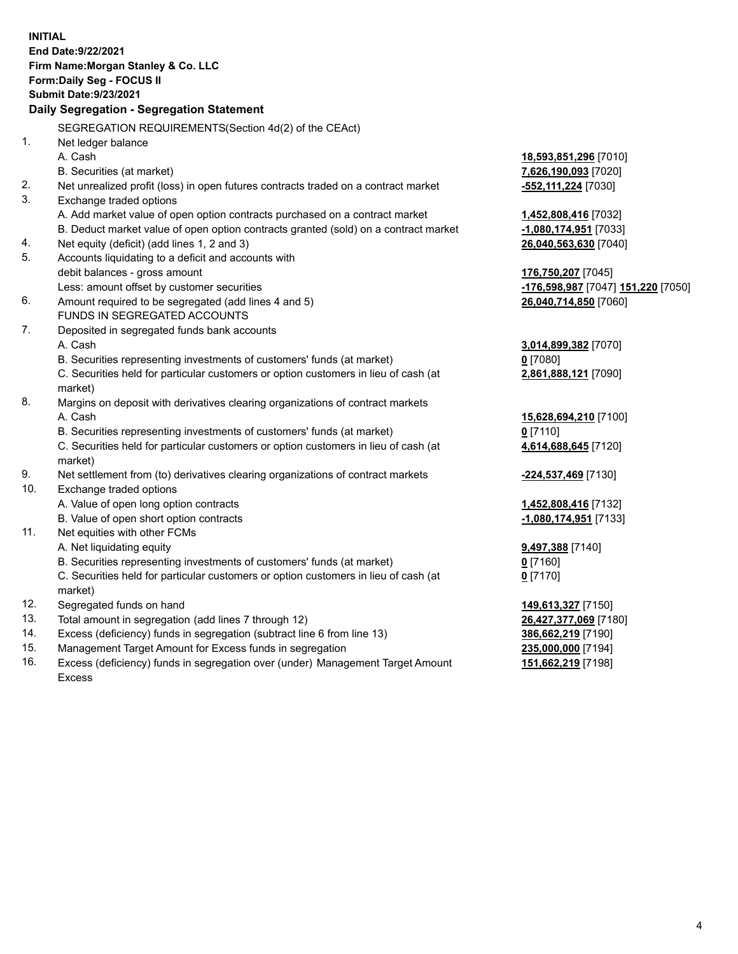**INITIAL End Date:9/22/2021 Firm Name:Morgan Stanley & Co. LLC Form:Daily Seg - FOCUS II Submit Date:9/23/2021 Daily Segregation - Segregation Statement** SEGREGATION REQUIREMENTS(Section 4d(2) of the CEAct) 1. Net ledger balance A. Cash **18,593,851,296** [7010] B. Securities (at market) **7,626,190,093** [7020] 2. Net unrealized profit (loss) in open futures contracts traded on a contract market **-552,111,224** [7030] 3. Exchange traded options A. Add market value of open option contracts purchased on a contract market **1,452,808,416** [7032] B. Deduct market value of open option contracts granted (sold) on a contract market **-1,080,174,951** [7033] 4. Net equity (deficit) (add lines 1, 2 and 3) **26,040,563,630** [7040] 5. Accounts liquidating to a deficit and accounts with debit balances - gross amount **176,750,207** [7045] Less: amount offset by customer securities **-176,598,987** [7047] **151,220** [7050] 6. Amount required to be segregated (add lines 4 and 5) **26,040,714,850** [7060] FUNDS IN SEGREGATED ACCOUNTS 7. Deposited in segregated funds bank accounts A. Cash **3,014,899,382** [7070] B. Securities representing investments of customers' funds (at market) **0** [7080] C. Securities held for particular customers or option customers in lieu of cash (at market) **2,861,888,121** [7090] 8. Margins on deposit with derivatives clearing organizations of contract markets A. Cash **15,628,694,210** [7100] B. Securities representing investments of customers' funds (at market) **0** [7110] C. Securities held for particular customers or option customers in lieu of cash (at market) **4,614,688,645** [7120] 9. Net settlement from (to) derivatives clearing organizations of contract markets **-224,537,469** [7130] 10. Exchange traded options A. Value of open long option contracts **1,452,808,416** [7132] B. Value of open short option contracts **-1,080,174,951** [7133] 11. Net equities with other FCMs A. Net liquidating equity **9,497,388** [7140] B. Securities representing investments of customers' funds (at market) **0** [7160] C. Securities held for particular customers or option customers in lieu of cash (at market) **0** [7170] 12. Segregated funds on hand **149,613,327** [7150] 13. Total amount in segregation (add lines 7 through 12) **26,427,377,069** [7180] 14. Excess (deficiency) funds in segregation (subtract line 6 from line 13) **386,662,219** [7190] 15. Management Target Amount for Excess funds in segregation **235,000,000** [7194]

16. Excess (deficiency) funds in segregation over (under) Management Target Amount Excess

**151,662,219** [7198]